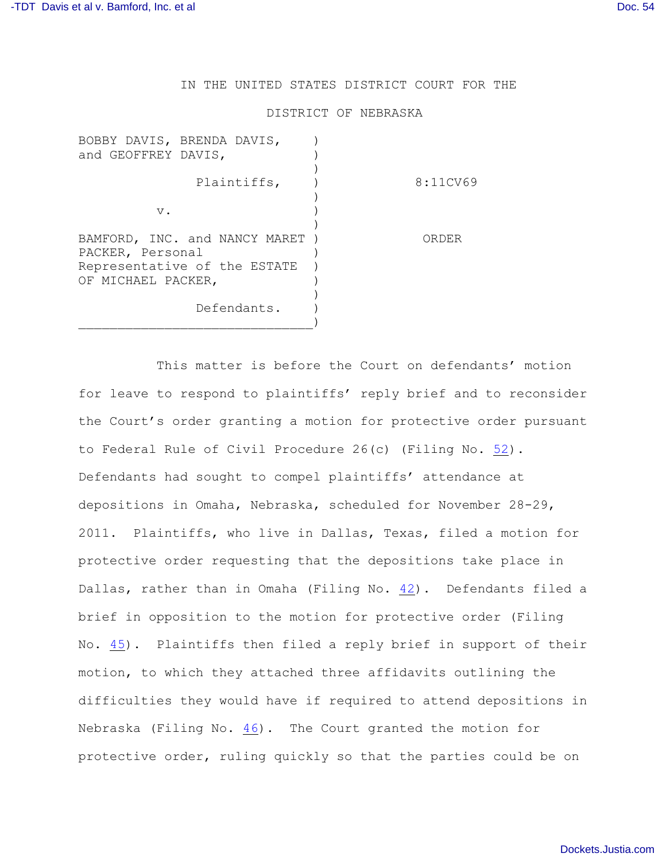IN THE UNITED STATES DISTRICT COURT FOR THE

## DISTRICT OF NEBRASKA

| BOBBY DAVIS, BRENDA DAVIS,<br>and GEOFFREY DAVIS,  |          |
|----------------------------------------------------|----------|
| Plaintiffs,                                        | 8:11CV69 |
| $V$ .                                              |          |
| BAMFORD, INC. and NANCY MARET<br>PACKER, Personal  | ORDER    |
| Representative of the ESTATE<br>OF MICHAEL PACKER, |          |
| Defendants.                                        |          |

This matter is before the Court on defendants' motion for leave to respond to plaintiffs' reply brief and to reconsider the Court's order granting a motion for protective order pursuant to Federal Rule of Civil Procedure 26(c) (Filing No. [52](http://ecf.ned.uscourts.gov/doc1/11302405967)). Defendants had sought to compel plaintiffs' attendance at depositions in Omaha, Nebraska, scheduled for November 28-29, 2011. Plaintiffs, who live in Dallas, Texas, filed a motion for protective order requesting that the depositions take place in Dallas, rather than in Omaha (Filing No. [42](http://ecf.ned.uscourts.gov/doc1/11302390529)). Defendants filed a brief in opposition to the motion for protective order (Filing No. [45](http://ecf.ned.uscourts.gov/doc1/11302398240)). Plaintiffs then filed a reply brief in support of their motion, to which they attached three affidavits outlining the difficulties they would have if required to attend depositions in Nebraska (Filing No. [46](http://ecf.ned.uscourts.gov/doc1/11302404772)). The Court granted the motion for protective order, ruling quickly so that the parties could be on